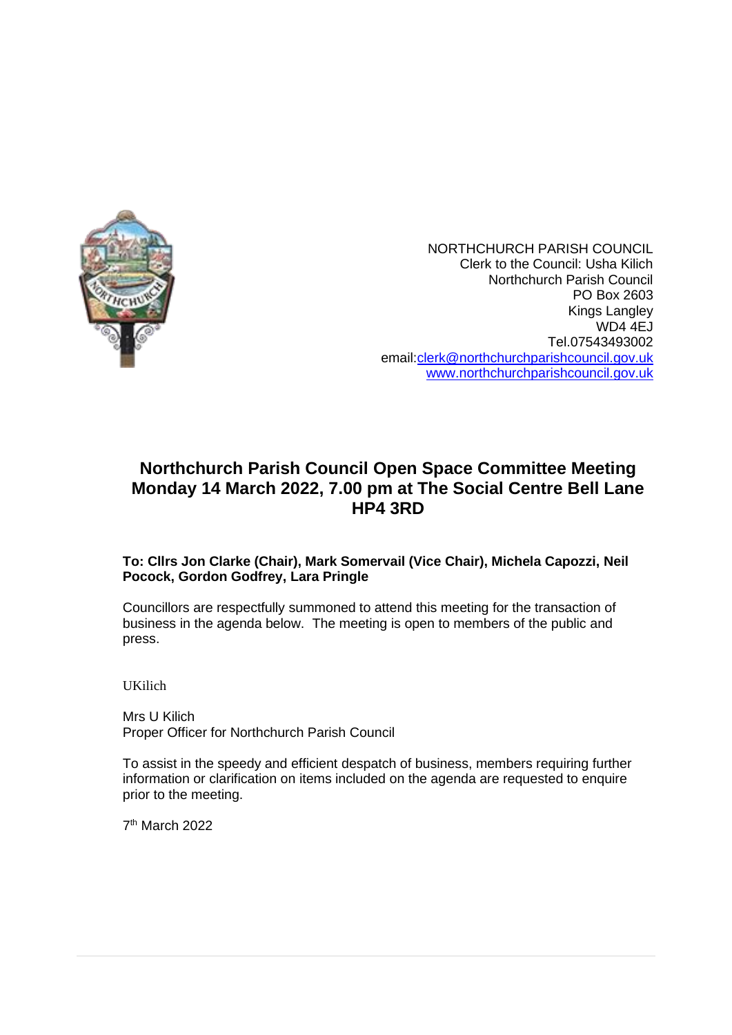

NORTHCHURCH PARISH COUNCIL Clerk to the Council: Usha Kilich Northchurch Parish Council PO Box 2603 Kings Langley WD4 4EJ Tel.07543493002 email[:clerk@northchurchparishcouncil.gov.uk](mailto:clerk@northchurchparishcouncil.gov.uk) [www.northchurchparishcouncil.gov.uk](http://www.northchurchparishcouncil.gov.uk/)

# **Northchurch Parish Council Open Space Committee Meeting Monday 14 March 2022, 7.00 pm at The Social Centre Bell Lane HP4 3RD**

# **To: Cllrs Jon Clarke (Chair), Mark Somervail (Vice Chair), Michela Capozzi, Neil Pocock, Gordon Godfrey, Lara Pringle**

Councillors are respectfully summoned to attend this meeting for the transaction of business in the agenda below. The meeting is open to members of the public and press.

UKilich

Mrs U Kilich Proper Officer for Northchurch Parish Council

To assist in the speedy and efficient despatch of business, members requiring further information or clarification on items included on the agenda are requested to enquire prior to the meeting.

7 th March 2022